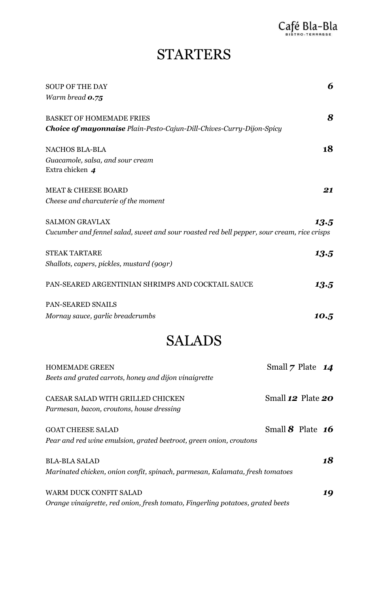### **STARTERS**

| <b>SOUP OF THE DAY</b>                                                                     | 6                    |
|--------------------------------------------------------------------------------------------|----------------------|
| Warm bread 0.75                                                                            |                      |
| <b>BASKET OF HOMEMADE FRIES</b>                                                            | 8                    |
| <b>Choice of mayonnaise</b> Plain-Pesto-Cajun-Dill-Chives-Curry-Dijon-Spicy                |                      |
| <b>NACHOS BLA-BLA</b>                                                                      | 18                   |
| Guacamole, salsa, and sour cream<br>Extra chicken 4                                        |                      |
| <b>MEAT &amp; CHEESE BOARD</b>                                                             | 21                   |
| Cheese and charcuterie of the moment                                                       |                      |
| <b>SALMON GRAVLAX</b>                                                                      | 13.5                 |
| Cucumber and fennel salad, sweet and sour roasted red bell pepper, sour cream, rice crisps |                      |
| <b>STEAK TARTARE</b>                                                                       | 13.5                 |
| Shallots, capers, pickles, mustard (90gr)                                                  |                      |
| PAN-SEARED ARGENTINIAN SHRIMPS AND COCKTAIL SAUCE                                          | 13.5                 |
| PAN-SEARED SNAILS                                                                          |                      |
| Mornay sauce, garlic breadcrumbs                                                           | 10.5                 |
| <b>SALADS</b>                                                                              |                      |
| <b>HOMEMADE GREEN</b>                                                                      | Small $7$ Plate $14$ |
| Beets and grated carrots, honey and dijon vinaigrette                                      |                      |
| CAESAR SALAD WITH GRILLED CHICKEN                                                          | Small 12 Plate 20    |

*Parmesan, bacon, croutons, house dressing*

GOAT CHEESE SALAD Small **8** Plate **16** *Pear and red wine emulsion, grated beetroot, green onion, croutons*

BLA-BLA SALAD *18 Marinated chicken, onion confit, spinach, parmesan, Kalamata, fresh tomatoes*

WARM DUCK CONFIT SALAD **19** *Orange vinaigrette, red onion, fresh tomato, Fingerling potatoes, grated beets*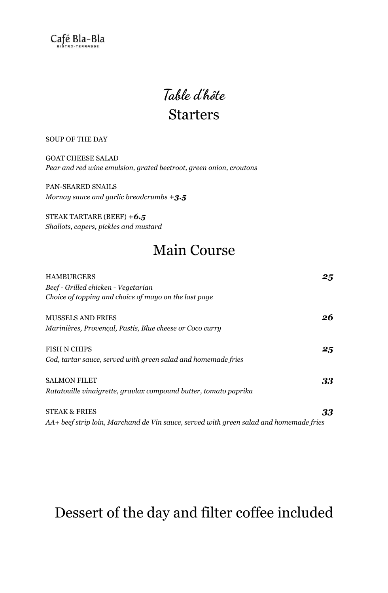

## **Table d'hôte** Starters

#### SOUP OF THE DAY

GOAT CHEESE SALAD *Pear and red wine emulsion, grated beetroot, green onion, croutons*

PAN-SEARED SNAILS *Mornay sauce and garlic breadcrumbs +3.5*

STEAK TARTARE (BEEF) *+6.5 Shallots, capers, pickles and mustard*

### Main Course

| <b>HAMBURGERS</b>                                                                      | 25 |
|----------------------------------------------------------------------------------------|----|
| Beef - Grilled chicken - Vegetarian                                                    |    |
| Choice of topping and choice of mayo on the last page                                  |    |
| <b>MUSSELS AND FRIES</b>                                                               | 26 |
| Marinières, Provençal, Pastis, Blue cheese or Coco curry                               |    |
| <b>FISH N CHIPS</b>                                                                    | 25 |
| Cod, tartar sauce, served with green salad and homemade fries                          |    |
| <b>SALMON FILET</b>                                                                    | 33 |
| Ratatouille vinaigrette, gravlax compound butter, tomato paprika                       |    |
| <b>STEAK &amp; FRIES</b>                                                               | 33 |
| AA+ beef strip loin, Marchand de Vin sauce, served with green salad and homemade fries |    |

### Dessert of the day and filter coffee included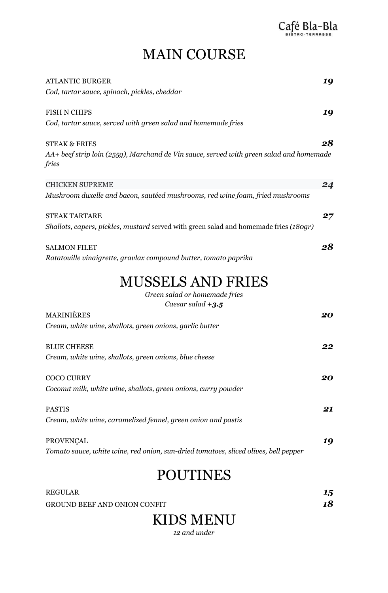```
Café Bla-Bla
```
### MAIN COURSE

| <b>ATLANTIC BURGER</b>                                                                                              | 19 |
|---------------------------------------------------------------------------------------------------------------------|----|
| Cod, tartar sauce, spinach, pickles, cheddar                                                                        |    |
| <b>FISH N CHIPS</b>                                                                                                 | 19 |
| Cod, tartar sauce, served with green salad and homemade fries                                                       |    |
|                                                                                                                     | 28 |
| <b>STEAK &amp; FRIES</b><br>AA+ beef strip loin (255g), Marchand de Vin sauce, served with green salad and homemade |    |
| fries                                                                                                               |    |
| <b>CHICKEN SUPREME</b>                                                                                              | 24 |
| Mushroom duxelle and bacon, sautéed mushrooms, red wine foam, fried mushrooms                                       |    |
|                                                                                                                     |    |
| <b>STEAK TARTARE</b><br>Shallots, capers, pickles, mustard served with green salad and homemade fries (180gr)       | 27 |
|                                                                                                                     |    |
| <b>SALMON FILET</b>                                                                                                 | 28 |
| Ratatouille vinaigrette, gravlax compound butter, tomato paprika                                                    |    |
|                                                                                                                     |    |
|                                                                                                                     |    |
| <b>MUSSELS AND FRIES</b><br>Green salad or homemade fries                                                           |    |
| Caesar salad $+3.5$                                                                                                 |    |
| <b>MARINIÈRES</b>                                                                                                   | 20 |
| Cream, white wine, shallots, green onions, garlic butter                                                            |    |
| <b>BLUE CHEESE</b>                                                                                                  | 22 |
| Cream, white wine, shallots, green onions, blue cheese                                                              |    |
|                                                                                                                     |    |
| <b>COCO CURRY</b><br>Coconut milk, white wine, shallots, green onions, curry powder                                 | 20 |
|                                                                                                                     |    |
| <b>PASTIS</b>                                                                                                       | 21 |
| Cream, white wine, caramelized fennel, green onion and pastis                                                       |    |
| PROVENÇAL                                                                                                           | 19 |
| Tomato sauce, white wine, red onion, sun-dried tomatoes, sliced olives, bell pepper                                 |    |

### POUTINES

| REGULAR                      | 15 |
|------------------------------|----|
| GROUND BEEF AND ONION CONFIT | 18 |
| <b>KIDS MENU</b>             |    |

*12 and under*